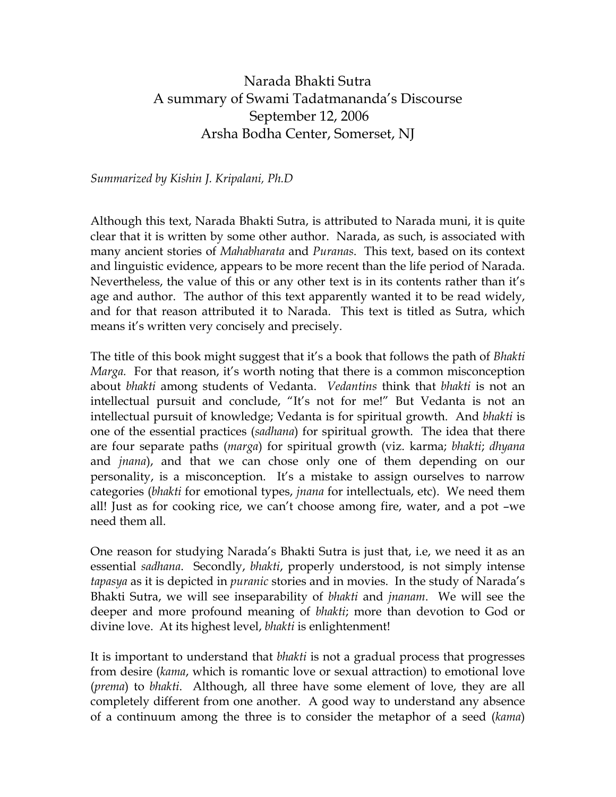## Narada Bhakti Sutra A summary of Swami Tadatmananda's Discourse September 12, 2006 Arsha Bodha Center, Somerset, NJ

*Summarized by Kishin J. Kripalani, Ph.D* 

Although this text, Narada Bhakti Sutra, is attributed to Narada muni, it is quite clear that it is written by some other author. Narada, as such, is associated with many ancient stories of *Mahabharata* and *Puranas*. This text, based on its context and linguistic evidence, appears to be more recent than the life period of Narada. Nevertheless, the value of this or any other text is in its contents rather than it's age and author. The author of this text apparently wanted it to be read widely, and for that reason attributed it to Narada. This text is titled as Sutra, which means it's written very concisely and precisely.

The title of this book might suggest that it's a book that follows the path of *Bhakti Marga.* For that reason, it's worth noting that there is a common misconception about *bhakti* among students of Vedanta. *Vedantins* think that *bhakti* is not an intellectual pursuit and conclude, "It's not for me!" But Vedanta is not an intellectual pursuit of knowledge; Vedanta is for spiritual growth. And *bhakti* is one of the essential practices (*sadhana*) for spiritual growth. The idea that there are four separate paths (*marga*) for spiritual growth (viz. karma; *bhakti*; *dhyana* and *jnana*), and that we can chose only one of them depending on our personality, is a misconception. It's a mistake to assign ourselves to narrow categories (*bhakti* for emotional types, *jnana* for intellectuals, etc). We need them all! Just as for cooking rice, we can't choose among fire, water, and a pot –we need them all.

One reason for studying Narada's Bhakti Sutra is just that, i.e, we need it as an essential *sadhana*. Secondly, *bhakti*, properly understood, is not simply intense *tapasya* as it is depicted in *puranic* stories and in movies. In the study of Narada's Bhakti Sutra, we will see inseparability of *bhakti* and *jnanam*. We will see the deeper and more profound meaning of *bhakti*; more than devotion to God or divine love. At its highest level, *bhakti* is enlightenment!

It is important to understand that *bhakti* is not a gradual process that progresses from desire (*kama*, which is romantic love or sexual attraction) to emotional love (*prema*) to *bhakti*. Although, all three have some element of love, they are all completely different from one another. A good way to understand any absence of a continuum among the three is to consider the metaphor of a seed (*kama*)